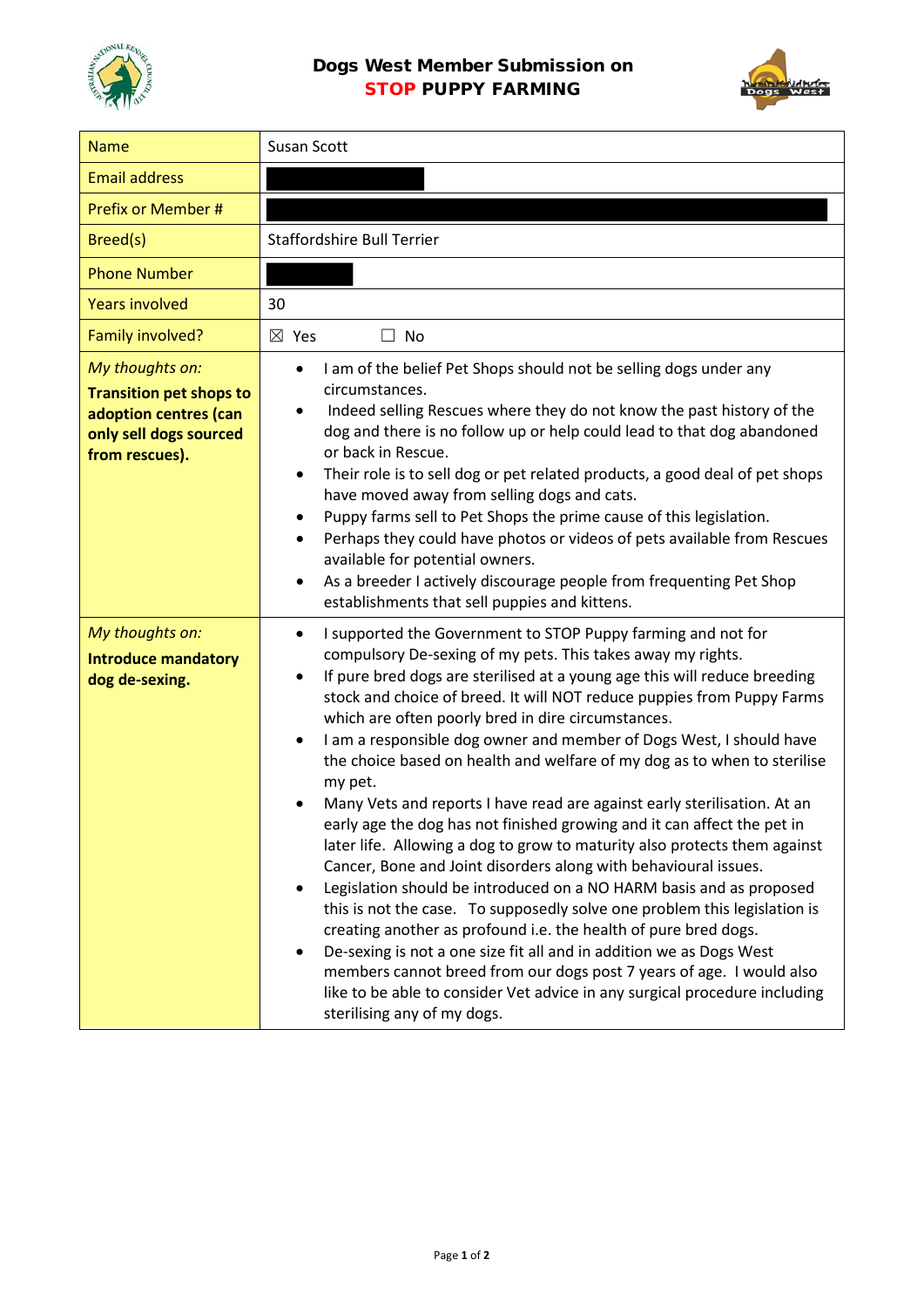

## Dogs West Member Submission on STOP PUPPY FARMING



| <b>Name</b>                                                                                                            | Susan Scott                                                                                                                                                                                                                                                                                                                                                                                                                                                                                                                                                                                                                                                                                                                                                                                                                                                                                                                                                                                                                                                                                                                                                                                                                                                                                                                                               |
|------------------------------------------------------------------------------------------------------------------------|-----------------------------------------------------------------------------------------------------------------------------------------------------------------------------------------------------------------------------------------------------------------------------------------------------------------------------------------------------------------------------------------------------------------------------------------------------------------------------------------------------------------------------------------------------------------------------------------------------------------------------------------------------------------------------------------------------------------------------------------------------------------------------------------------------------------------------------------------------------------------------------------------------------------------------------------------------------------------------------------------------------------------------------------------------------------------------------------------------------------------------------------------------------------------------------------------------------------------------------------------------------------------------------------------------------------------------------------------------------|
| <b>Email address</b>                                                                                                   |                                                                                                                                                                                                                                                                                                                                                                                                                                                                                                                                                                                                                                                                                                                                                                                                                                                                                                                                                                                                                                                                                                                                                                                                                                                                                                                                                           |
| Prefix or Member #                                                                                                     |                                                                                                                                                                                                                                                                                                                                                                                                                                                                                                                                                                                                                                                                                                                                                                                                                                                                                                                                                                                                                                                                                                                                                                                                                                                                                                                                                           |
| Breed(s)                                                                                                               | <b>Staffordshire Bull Terrier</b>                                                                                                                                                                                                                                                                                                                                                                                                                                                                                                                                                                                                                                                                                                                                                                                                                                                                                                                                                                                                                                                                                                                                                                                                                                                                                                                         |
| <b>Phone Number</b>                                                                                                    |                                                                                                                                                                                                                                                                                                                                                                                                                                                                                                                                                                                                                                                                                                                                                                                                                                                                                                                                                                                                                                                                                                                                                                                                                                                                                                                                                           |
| <b>Years involved</b>                                                                                                  | 30                                                                                                                                                                                                                                                                                                                                                                                                                                                                                                                                                                                                                                                                                                                                                                                                                                                                                                                                                                                                                                                                                                                                                                                                                                                                                                                                                        |
| Family involved?                                                                                                       | $\boxtimes$ Yes<br>$\Box$ No                                                                                                                                                                                                                                                                                                                                                                                                                                                                                                                                                                                                                                                                                                                                                                                                                                                                                                                                                                                                                                                                                                                                                                                                                                                                                                                              |
| My thoughts on:<br><b>Transition pet shops to</b><br>adoption centres (can<br>only sell dogs sourced<br>from rescues). | I am of the belief Pet Shops should not be selling dogs under any<br>$\bullet$<br>circumstances.<br>Indeed selling Rescues where they do not know the past history of the<br>dog and there is no follow up or help could lead to that dog abandoned<br>or back in Rescue.<br>Their role is to sell dog or pet related products, a good deal of pet shops<br>$\bullet$<br>have moved away from selling dogs and cats.<br>Puppy farms sell to Pet Shops the prime cause of this legislation.<br>$\bullet$<br>Perhaps they could have photos or videos of pets available from Rescues<br>$\bullet$<br>available for potential owners.<br>As a breeder I actively discourage people from frequenting Pet Shop<br>٠<br>establishments that sell puppies and kittens.                                                                                                                                                                                                                                                                                                                                                                                                                                                                                                                                                                                           |
| My thoughts on:<br><b>Introduce mandatory</b><br>dog de-sexing.                                                        | I supported the Government to STOP Puppy farming and not for<br>$\bullet$<br>compulsory De-sexing of my pets. This takes away my rights.<br>If pure bred dogs are sterilised at a young age this will reduce breeding<br>٠<br>stock and choice of breed. It will NOT reduce puppies from Puppy Farms<br>which are often poorly bred in dire circumstances.<br>I am a responsible dog owner and member of Dogs West, I should have<br>$\bullet$<br>the choice based on health and welfare of my dog as to when to sterilise<br>my pet.<br>Many Vets and reports I have read are against early sterilisation. At an<br>early age the dog has not finished growing and it can affect the pet in<br>later life. Allowing a dog to grow to maturity also protects them against<br>Cancer, Bone and Joint disorders along with behavioural issues.<br>Legislation should be introduced on a NO HARM basis and as proposed<br>$\bullet$<br>this is not the case. To supposedly solve one problem this legislation is<br>creating another as profound i.e. the health of pure bred dogs.<br>De-sexing is not a one size fit all and in addition we as Dogs West<br>$\bullet$<br>members cannot breed from our dogs post 7 years of age. I would also<br>like to be able to consider Vet advice in any surgical procedure including<br>sterilising any of my dogs. |